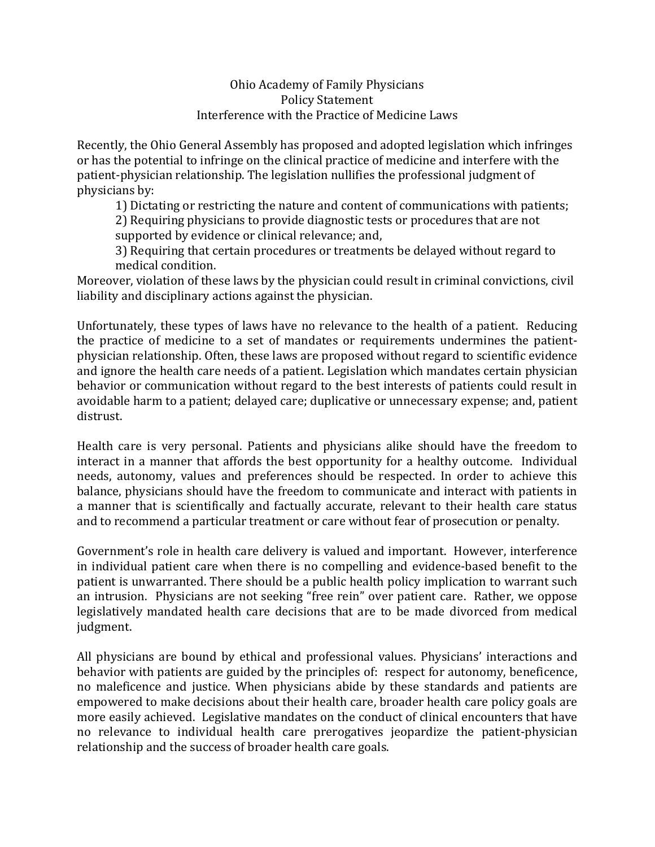## Ohio Academy of Family Physicians Policy Statement Interference with the Practice of Medicine Laws

Recently, the Ohio General Assembly has proposed and adopted legislation which infringes or has the potential to infringe on the clinical practice of medicine and interfere with the patient-physician relationship. The legislation nullifies the professional judgment of physicians by:

1) Dictating or restricting the nature and content of communications with patients;

2) Requiring physicians to provide diagnostic tests or procedures that are not supported by evidence or clinical relevance; and,

3) Requiring that certain procedures or treatments be delayed without regard to medical condition. 

Moreover, violation of these laws by the physician could result in criminal convictions, civil liability and disciplinary actions against the physician.

Unfortunately, these types of laws have no relevance to the health of a patient. Reducing the practice of medicine to a set of mandates or requirements undermines the patientphysician relationship. Often, these laws are proposed without regard to scientific evidence and ignore the health care needs of a patient. Legislation which mandates certain physician behavior or communication without regard to the best interests of patients could result in avoidable harm to a patient; delayed care; duplicative or unnecessary expense; and, patient distrust. 

Health care is very personal. Patients and physicians alike should have the freedom to interact in a manner that affords the best opportunity for a healthy outcome. Individual needs, autonomy, values and preferences should be respected. In order to achieve this balance, physicians should have the freedom to communicate and interact with patients in a manner that is scientifically and factually accurate, relevant to their health care status and to recommend a particular treatment or care without fear of prosecution or penalty.

Government's role in health care delivery is valued and important. However, interference in individual patient care when there is no compelling and evidence-based benefit to the patient is unwarranted. There should be a public health policy implication to warrant such an intrusion. Physicians are not seeking "free rein" over patient care. Rather, we oppose legislatively mandated health care decisions that are to be made divorced from medical judgment. 

All physicians are bound by ethical and professional values. Physicians' interactions and behavior with patients are guided by the principles of: respect for autonomy, beneficence, no maleficence and justice. When physicians abide by these standards and patients are empowered to make decisions about their health care, broader health care policy goals are more easily achieved. Legislative mandates on the conduct of clinical encounters that have no relevance to individual health care prerogatives jeopardize the patient-physician relationship and the success of broader health care goals.